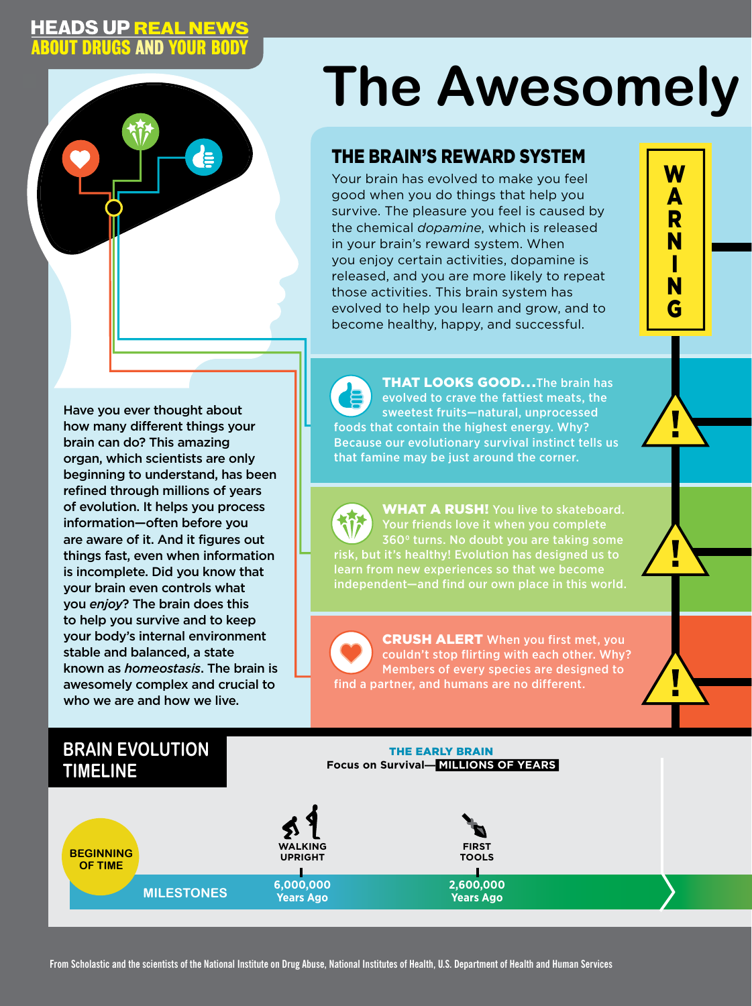## **HEADS UP REAL NEWS<br>ABOUT DRUGS AND YOUR BODY**

de:

l

 $\overline{1}$ 

### Have you ever thought about how many different things your brain can do? This amazing organ, which scientists are only beginning to understand, has been refined through millions of years of evolution. It helps you process information—often before you are aware of it. And it figures out things fast, even when information is incomplete. Did you know that your brain even controls what you *enjoy*? The brain does this to help you survive and to keep your body's internal environment stable and balanced, a state known as *homeostasis*. The brain is awesomely complex and crucial to who we are and how we live.

# **The Awesomely**

## THE BRAIN'S REWARD SYSTEM

HEADS UP REAL NEWS

Your brain has evolved to make you feel good when you do things that help you survive. The pleasure you feel is caused by the chemical *dopamine*, which is released in your brain's reward system. When you enjoy certain activities, dopamine is released, and you are more likely to repeat those activities. This brain system has evolved to help you learn and grow, and to become healthy, happy, and successful.



п

**THAT LOOKS GOOD...The brain has** evolved to crave the fattiest meats, the sweetest fruits—natural, unprocessed foods that contain the highest energy. Why? Because our evolutionary survival instinct tells us that famine may be just around the corner.

WHAT A RUSH! You live to skateboard. Your friends love it when you complete 360° turns. No doubt you are taking some risk, but it's healthy! Evolution has designed us to learn from new experiences so that we become

**CRUSH ALERT** When you first met, you couldn't stop flirting with each other. Why? Members of every species are designed to find a partner, and humans are no different.

## **BRAIN EVOLUTION TIMELINE**

#### THE EARLY BRAIN **Focus on Survival— MILLIONS OF YEARS**